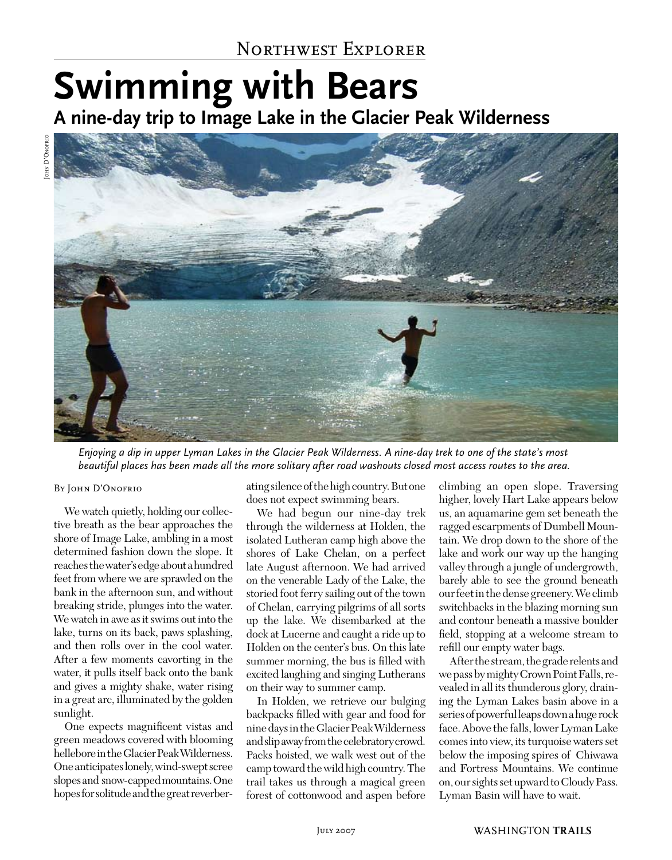# **Swimming with Bears A nine-day trip to Image Lake in the Glacier Peak Wilderness**





*Enjoying a dip in upper Lyman Lakes in the Glacier Peak Wilderness. A nine-day trek to one of the state's most beautiful places has been made all the more solitary after road washouts closed most access routes to the area.*

#### BY JOHN D'ONOFRIO

We watch quietly, holding our collective breath as the bear approaches the shore of Image Lake, ambling in a most determined fashion down the slope. It reaches the water's edge about a hundred feet from where we are sprawled on the bank in the afternoon sun, and without breaking stride, plunges into the water. We watch in awe as it swims out into the lake, turns on its back, paws splashing, and then rolls over in the cool water. After a few moments cavorting in the water, it pulls itself back onto the bank and gives a mighty shake, water rising in a great arc, illuminated by the golden sunlight.

One expects magnificent vistas and green meadows covered with blooming hellebore in the Glacier Peak Wilderness. One anticipates lonely, wind-swept scree slopes and snow-capped mountains. One hopes for solitude and the great reverberating silence of the high country. But one does not expect swimming bears.

We had begun our nine-day trek through the wilderness at Holden, the isolated Lutheran camp high above the shores of Lake Chelan, on a perfect late August afternoon. We had arrived on the venerable Lady of the Lake, the storied foot ferry sailing out of the town of Chelan, carrying pilgrims of all sorts up the lake. We disembarked at the dock at Lucerne and caught a ride up to Holden on the center's bus. On this late summer morning, the bus is filled with excited laughing and singing Lutherans on their way to summer camp.

In Holden, we retrieve our bulging backpacks filled with gear and food for nine days in the Glacier Peak Wilderness and slip away from the celebratory crowd. Packs hoisted, we walk west out of the camp toward the wild high country. The trail takes us through a magical green forest of cottonwood and aspen before

climbing an open slope. Traversing higher, lovely Hart Lake appears below us, an aquamarine gem set beneath the ragged escarpments of Dumbell Mountain. We drop down to the shore of the lake and work our way up the hanging valley through a jungle of undergrowth, barely able to see the ground beneath our feet in the dense greenery. We climb switchbacks in the blazing morning sun and contour beneath a massive boulder field, stopping at a welcome stream to refill our empty water bags.

After the stream, the grade relents and we pass by mighty Crown Point Falls, revealed in all its thunderous glory, draining the Lyman Lakes basin above in a series of powerful leaps down a huge rock face. Above the falls, lower Lyman Lake comes into view, its turquoise waters set below the imposing spires of Chiwawa and Fortress Mountains. We continue on, our sights set upward to Cloudy Pass. Lyman Basin will have to wait.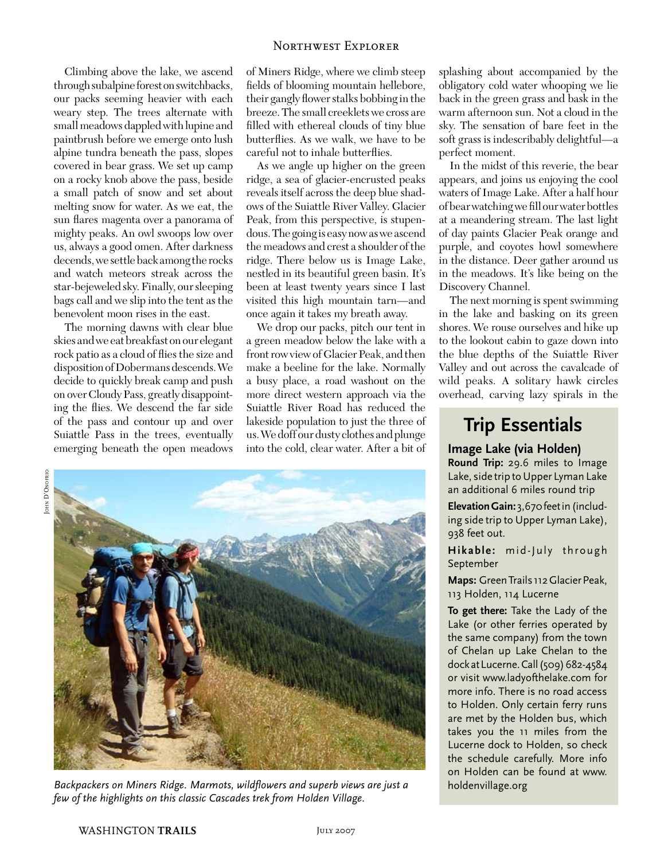Climbing above the lake, we ascend through subalpine forest on switchbacks, our packs seeming heavier with each weary step. The trees alternate with small meadows dappled with lupine and paintbrush before we emerge onto lush alpine tundra beneath the pass, slopes covered in bear grass. We set up camp on a rocky knob above the pass, beside a small patch of snow and set about melting snow for water. As we eat, the sun flares magenta over a panorama of mighty peaks. An owl swoops low over us, always a good omen. After darkness decends, we settle back among the rocks and watch meteors streak across the star-bejeweled sky. Finally, our sleeping bags call and we slip into the tent as the benevolent moon rises in the east.

The morning dawns with clear blue skies and we eat breakfast on our elegant rock patio as a cloud of flies the size and disposition of Dobermans descends. We decide to quickly break camp and push on over Cloudy Pass, greatly disappointing the flies. We descend the far side of the pass and contour up and over Suiattle Pass in the trees, eventually emerging beneath the open meadows of Miners Ridge, where we climb steep fields of blooming mountain hellebore, their gangly flower stalks bobbing in the breeze. The small creeklets we cross are filled with ethereal clouds of tiny blue butterflies. As we walk, we have to be careful not to inhale butterflies.

As we angle up higher on the green ridge, a sea of glacier-encrusted peaks reveals itself across the deep blue shadows of the Suiattle River Valley. Glacier Peak, from this perspective, is stupendous. The going is easy now as we ascend the meadows and crest a shoulder of the ridge. There below us is Image Lake, nestled in its beautiful green basin. It's been at least twenty years since I last visited this high mountain tarn—and once again it takes my breath away.

We drop our packs, pitch our tent in a green meadow below the lake with a front row view of Glacier Peak, and then make a beeline for the lake. Normally a busy place, a road washout on the more direct western approach via the Suiattle River Road has reduced the lakeside population to just the three of us. We doff our dusty clothes and plunge into the cold, clear water. After a bit of

John D'Onofrio OHN D'ONOFRIC



*Backpackers on Miners Ridge. Marmots, wildflowers and superb views are just a few of the highlights on this classic Cascades trek from Holden Village.*

splashing about accompanied by the obligatory cold water whooping we lie back in the green grass and bask in the warm afternoon sun. Not a cloud in the sky. The sensation of bare feet in the soft grass is indescribably delightful—a perfect moment.

In the midst of this reverie, the bear appears, and joins us enjoying the cool waters of Image Lake. After a half hour of bear watching we fill our water bottles at a meandering stream. The last light of day paints Glacier Peak orange and purple, and coyotes howl somewhere in the distance. Deer gather around us in the meadows. It's like being on the Discovery Channel.

The next morning is spent swimming in the lake and basking on its green shores. We rouse ourselves and hike up to the lookout cabin to gaze down into the blue depths of the Suiattle River Valley and out across the cavalcade of wild peaks. A solitary hawk circles overhead, carving lazy spirals in the

## **Trip Essentials**

### **Image Lake (via Holden)**

**Round Trip:** 29.6 miles to Image Lake, side trip to Upper Lyman Lake an additional 6 miles round trip

**Elevation Gain:** 3,670 feet in (including side trip to Upper Lyman Lake), 938 feet out.

**Hikable:** mid-July through September

**Maps:** Green Trails 112 Glacier Peak, 113 Holden, 114 Lucerne

**To get there:** Take the Lady of the Lake (or other ferries operated by the same company) from the town of Chelan up Lake Chelan to the dock at Lucerne. Call (509) 682-4584 or visit www.ladyofthelake.com for more info. There is no road access to Holden. Only certain ferry runs are met by the Holden bus, which takes you the 11 miles from the Lucerne dock to Holden, so check the schedule carefully. More info on Holden can be found at www. holdenvillage.org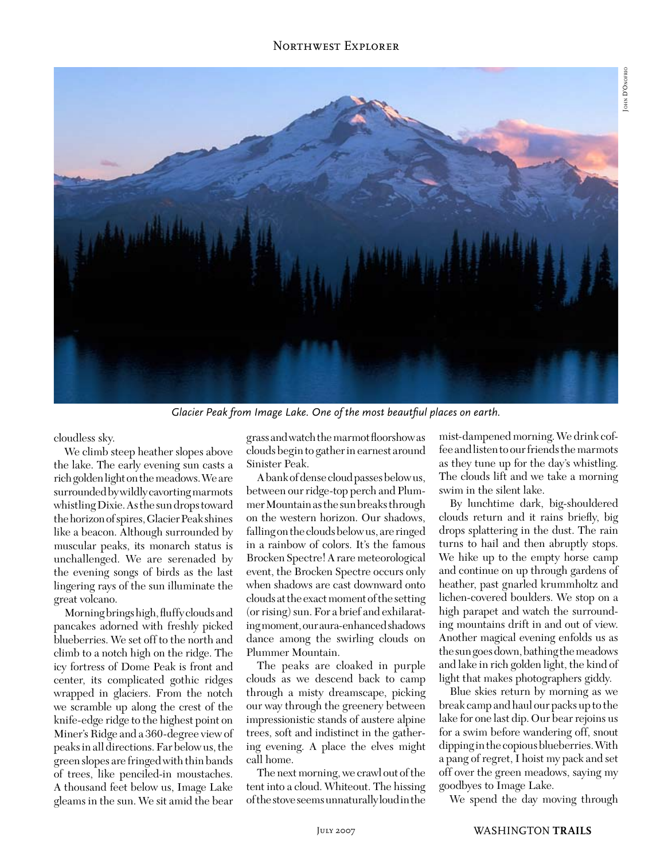### Northwest Explorer



*Glacier Peak from Image Lake. One of the most beautfiul places on earth.*

cloudless sky.

We climb steep heather slopes above the lake. The early evening sun casts a rich golden light on the meadows. We are surrounded by wildly cavorting marmots whistling Dixie. As the sun drops toward the horizon of spires, Glacier Peak shines like a beacon. Although surrounded by muscular peaks, its monarch status is unchallenged. We are serenaded by the evening songs of birds as the last lingering rays of the sun illuminate the great volcano.

Morning brings high, fluffy clouds and pancakes adorned with freshly picked blueberries. We set off to the north and climb to a notch high on the ridge. The icy fortress of Dome Peak is front and center, its complicated gothic ridges wrapped in glaciers. From the notch we scramble up along the crest of the knife-edge ridge to the highest point on Miner's Ridge and a 360-degree view of peaks in all directions. Far below us, the green slopes are fringed with thin bands of trees, like penciled-in moustaches. A thousand feet below us, Image Lake gleams in the sun. We sit amid the bear

grass and watch the marmot floorshow as clouds begin to gather in earnest around Sinister Peak.

A bank of dense cloud passes below us, between our ridge-top perch and Plummer Mountain as the sun breaks through on the western horizon. Our shadows, falling on the clouds below us, are ringed in a rainbow of colors. It's the famous Brocken Spectre! A rare meteorological event, the Brocken Spectre occurs only when shadows are cast downward onto clouds at the exact moment of the setting (or rising) sun. For a brief and exhilarating moment, our aura-enhanced shadows dance among the swirling clouds on Plummer Mountain.

The peaks are cloaked in purple clouds as we descend back to camp through a misty dreamscape, picking our way through the greenery between impressionistic stands of austere alpine trees, soft and indistinct in the gathering evening. A place the elves might call home.

The next morning, we crawl out of the tent into a cloud. Whiteout. The hissing of the stove seems unnaturally loud in the

mist-dampened morning. We drink coffee and listen to our friends the marmots as they tune up for the day's whistling. The clouds lift and we take a morning swim in the silent lake.

By lunchtime dark, big-shouldered clouds return and it rains briefly, big drops splattering in the dust. The rain turns to hail and then abruptly stops. We hike up to the empty horse camp and continue on up through gardens of heather, past gnarled krummholtz and lichen-covered boulders. We stop on a high parapet and watch the surrounding mountains drift in and out of view. Another magical evening enfolds us as the sun goes down, bathing the meadows and lake in rich golden light, the kind of light that makes photographers giddy.

Blue skies return by morning as we break camp and haul our packs up to the lake for one last dip. Our bear rejoins us for a swim before wandering off, snout dipping in the copious blueberries. With a pang of regret, I hoist my pack and set off over the green meadows, saying my goodbyes to Image Lake.

We spend the day moving through